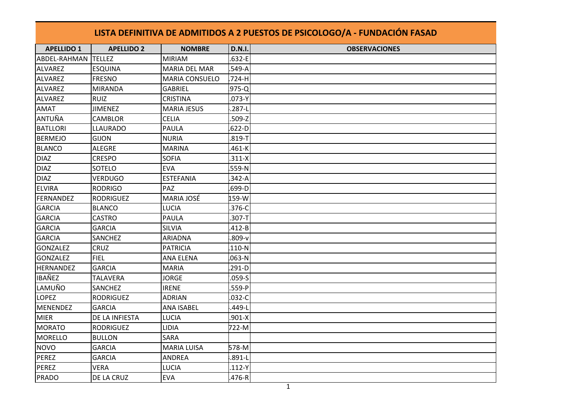| LISTA DEFINITIVA DE ADMITIDOS A 2 PUESTOS DE PSICOLOGO/A - FUNDACIÓN FASAD |                   |                      |               |                      |  |  |  |  |
|----------------------------------------------------------------------------|-------------------|----------------------|---------------|----------------------|--|--|--|--|
| <b>APELLIDO 1</b>                                                          | <b>APELLIDO 2</b> | <b>NOMBRE</b>        | <b>D.N.I.</b> | <b>OBSERVACIONES</b> |  |  |  |  |
| ABDEL-RAHMAN                                                               | <b>TELLEZ</b>     | <b>MIRIAM</b>        | $.632 - E$    |                      |  |  |  |  |
| <b>ALVAREZ</b>                                                             | <b>ESQUINA</b>    | <b>MARIA DEL MAR</b> | .549-A        |                      |  |  |  |  |
| ALVAREZ                                                                    | <b>FRESNO</b>     | MARIA CONSUELO       | .724-H        |                      |  |  |  |  |
| ALVAREZ                                                                    | <b>MIRANDA</b>    | <b>GABRIEL</b>       | .975-Q        |                      |  |  |  |  |
| ALVAREZ                                                                    | <b>RUIZ</b>       | CRISTINA             | $.073-Y$      |                      |  |  |  |  |
| <b>AMAT</b>                                                                | <b>JIMENEZ</b>    | <b>MARIA JESUS</b>   | .287-L        |                      |  |  |  |  |
| ANTUÑA                                                                     | CAMBLOR           | <b>CELIA</b>         | $.509 - Z$    |                      |  |  |  |  |
| <b>BATLLORI</b>                                                            | <b>LLAURADO</b>   | PAULA                | $.622-D$      |                      |  |  |  |  |
| <b>BERMEJO</b>                                                             | <b>GIJON</b>      | <b>NURIA</b>         | $.819 - T$    |                      |  |  |  |  |
| <b>BLANCO</b>                                                              | <b>ALEGRE</b>     | <b>MARINA</b>        | .461-K        |                      |  |  |  |  |
| <b>DIAZ</b>                                                                | <b>CRESPO</b>     | <b>SOFIA</b>         | $.311 - X$    |                      |  |  |  |  |
| <b>DIAZ</b>                                                                | SOTELO            | <b>EVA</b>           | 559-N         |                      |  |  |  |  |
| <b>DIAZ</b>                                                                | <b>VERDUGO</b>    | <b>ESTEFANIA</b>     | $.342 - A$    |                      |  |  |  |  |
| <b>ELVIRA</b>                                                              | <b>RODRIGO</b>    | PAZ                  | .699-D        |                      |  |  |  |  |
| FERNANDEZ                                                                  | <b>RODRIGUEZ</b>  | MARIA JOSÉ           | 159-W         |                      |  |  |  |  |
| <b>GARCIA</b>                                                              | <b>BLANCO</b>     | LUCIA                | 376-C         |                      |  |  |  |  |
| <b>GARCIA</b>                                                              | <b>CASTRO</b>     | PAULA                | .307-T        |                      |  |  |  |  |
| <b>GARCIA</b>                                                              | <b>GARCIA</b>     | <b>SILVIA</b>        | $.412 - B$    |                      |  |  |  |  |
| GARCIA                                                                     | SANCHEZ           | <b>ARIADNA</b>       | $.809-v$      |                      |  |  |  |  |
| <b>GONZALEZ</b>                                                            | <b>CRUZ</b>       | <b>PATRICIA</b>      | $.110-N$      |                      |  |  |  |  |
| GONZALEZ                                                                   | <b>FIEL</b>       | ANA ELENA            | $.063 - N$    |                      |  |  |  |  |
| HERNANDEZ                                                                  | <b>GARCIA</b>     | <b>MARIA</b>         | $.291-D$      |                      |  |  |  |  |
| <b>IBAÑEZ</b>                                                              | <b>TALAVERA</b>   | <b>JORGE</b>         | $.059-S$      |                      |  |  |  |  |
| LAMUÑO                                                                     | <b>SANCHEZ</b>    | <b>IRENE</b>         | 559-P         |                      |  |  |  |  |
| <b>LOPEZ</b>                                                               | <b>RODRIGUEZ</b>  | <b>ADRIAN</b>        | $.032-C$      |                      |  |  |  |  |
| <b>MENENDEZ</b>                                                            | <b>GARCIA</b>     | <b>ANA ISABEL</b>    | .449-L        |                      |  |  |  |  |
| <b>MIER</b>                                                                | DE LA INFIESTA    | LUCIA                | $.901 - X$    |                      |  |  |  |  |
| <b>MORATO</b>                                                              | <b>RODRIGUEZ</b>  | LIDIA                | 722-M         |                      |  |  |  |  |
| <b>MORELLO</b>                                                             | <b>BULLON</b>     | SARA                 |               |                      |  |  |  |  |
| <b>NOVO</b>                                                                | <b>GARCIA</b>     | <b>MARIA LUISA</b>   | 578-M         |                      |  |  |  |  |
| PEREZ                                                                      | <b>GARCIA</b>     | <b>ANDREA</b>        | $.891 - L$    |                      |  |  |  |  |
| PEREZ                                                                      | <b>VERA</b>       | LUCIA                | $.112-Y$      |                      |  |  |  |  |
| PRADO                                                                      | DE LA CRUZ        | <b>EVA</b>           | $.476-R$      |                      |  |  |  |  |